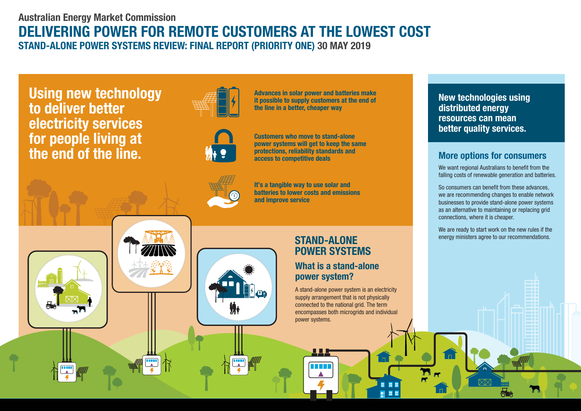# **DELIVERING POWER FOR REMOTE CUSTOMERS AT THE LOWEST COST Australian Energy Market Commission STAND-ALONE POWER SYSTEMS REVIEW: FINAL REPORT (PRIORITY ONE) 30 MAY 2019**

**Using new technology to deliver better electricity services for people living at the end of the line.**







M+

**protections, reliability standards and access to competitive deals**

**Advances in solar power and batteries make it possible to supply customers at the end of** 

**the line in a better, cheaper way**

**Customers who move to stand-alone power systems will get to keep the same** 

**It's a tangible way to use solar and batteries to lower costs and emissions and improve service**

# **STAND-ALONE POWER SYSTEMS**

## **What is a stand-alone power system?**

A stand-alone power system is an electricity supply arrangement that is not physically connected to the national grid. The term encompasses both microgrids and individual power systems.

**New technologies using distributed energy resources can mean better quality services.**

### **More options for consumers**

We want regional Australians to benefit from the falling costs of renewable generation and batteries.

So consumers can benefit from these advances, we are recommending changes to enable network businesses to provide stand-alone power systems as an alternative to maintaining or replacing grid connections, where it is cheaper.

We are ready to start work on the new rules if the energy ministers agree to our recommendations.